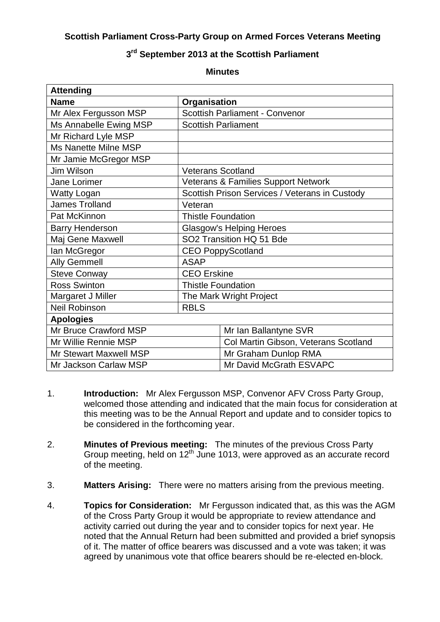## **Scottish Parliament Cross-Party Group on Armed Forces Veterans Meeting**

## **3 rd September 2013 at the Scottish Parliament**

| <b>Minutes</b> |  |
|----------------|--|
|----------------|--|

| <b>Attending</b>              |                                                |                                      |  |
|-------------------------------|------------------------------------------------|--------------------------------------|--|
| <b>Name</b>                   | Organisation                                   |                                      |  |
| Mr Alex Fergusson MSP         | <b>Scottish Parliament - Convenor</b>          |                                      |  |
| Ms Annabelle Ewing MSP        | <b>Scottish Parliament</b>                     |                                      |  |
| Mr Richard Lyle MSP           |                                                |                                      |  |
| Ms Nanette Milne MSP          |                                                |                                      |  |
| Mr Jamie McGregor MSP         |                                                |                                      |  |
| Jim Wilson                    | <b>Veterans Scotland</b>                       |                                      |  |
| Jane Lorimer                  | <b>Veterans &amp; Families Support Network</b> |                                      |  |
| <b>Watty Logan</b>            | Scottish Prison Services / Veterans in Custody |                                      |  |
| <b>James Trolland</b>         | Veteran                                        |                                      |  |
| Pat McKinnon                  | <b>Thistle Foundation</b>                      |                                      |  |
| <b>Barry Henderson</b>        | <b>Glasgow's Helping Heroes</b>                |                                      |  |
| Maj Gene Maxwell              | SO2 Transition HQ 51 Bde                       |                                      |  |
| lan McGregor                  | <b>CEO PoppyScotland</b>                       |                                      |  |
| <b>Ally Gemmell</b>           | <b>ASAP</b>                                    |                                      |  |
| <b>Steve Conway</b>           | <b>CEO</b> Erskine                             |                                      |  |
| <b>Ross Swinton</b>           | <b>Thistle Foundation</b>                      |                                      |  |
| Margaret J Miller             | The Mark Wright Project                        |                                      |  |
| <b>Neil Robinson</b>          | <b>RBLS</b>                                    |                                      |  |
| <b>Apologies</b>              |                                                |                                      |  |
| Mr Bruce Crawford MSP         |                                                | Mr Ian Ballantyne SVR                |  |
| Mr Willie Rennie MSP          |                                                | Col Martin Gibson, Veterans Scotland |  |
| <b>Mr Stewart Maxwell MSP</b> |                                                | Mr Graham Dunlop RMA                 |  |
| Mr Jackson Carlaw MSP         |                                                | Mr David McGrath ESVAPC              |  |

- 1. **Introduction:** Mr Alex Fergusson MSP, Convenor AFV Cross Party Group, welcomed those attending and indicated that the main focus for consideration at this meeting was to be the Annual Report and update and to consider topics to be considered in the forthcoming year.
- 2. **Minutes of Previous meeting:** The minutes of the previous Cross Party Group meeting, held on 12<sup>th</sup> June 1013, were approved as an accurate record of the meeting.
- 3. **Matters Arising:** There were no matters arising from the previous meeting.
- 4. **Topics for Consideration:** Mr Fergusson indicated that, as this was the AGM of the Cross Party Group it would be appropriate to review attendance and activity carried out during the year and to consider topics for next year. He noted that the Annual Return had been submitted and provided a brief synopsis of it. The matter of office bearers was discussed and a vote was taken; it was agreed by unanimous vote that office bearers should be re-elected en-block.